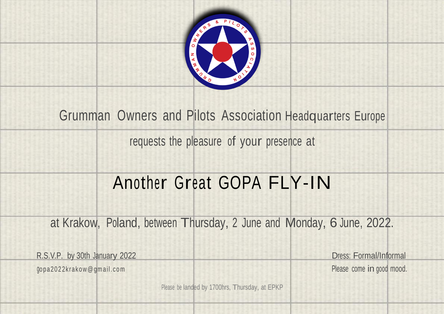

# Grumman Owners and Pilots Association Headquarters Europe

requests the pleasure of your presence at

# Another Great GOPA FLY-IN

at Krakow, Poland, between Thursday, <sup>2</sup> June and Monday, 6 June, 2022.

R.S.V.P. by 30th January 2022 **Dress: Formal/Informal** 

gopa2022krakow@gmail.com Please come in good mood.

Please be landed by 1700hrs, Thursday, at EPKP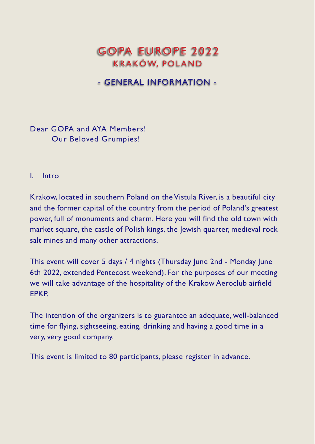# GOPA EUROPE 2022 KRAKÓW, POLAND

## - GENERAL INFORMATION -

Dear GOPA and AYA Members! Our Beloved Grumpies!

#### I. Intro

Krakow, located in southern Poland on the Vistula River, is a beautiful city and the former capital of the country from the period of Poland's greatest power, full of monuments and charm. Here you will find the old town with market square, the castle of Polish kings, the Jewish quarter, medieval rock salt mines and many other attractions.

This event will cover 5 days / 4 nights (Thursday June 2nd - Monday June 6th 2022, extended Pentecost weekend). For the purposes of our meeting we will take advantage of the hospitality of the Krakow Aeroclub airfield EPKP.

The intention of the organizers is to guarantee an adequate, well-balanced time for flying, sightseeing, eating, drinking and having a good time in a very, very good company.

This event is limited to 80 participants, please register in advance.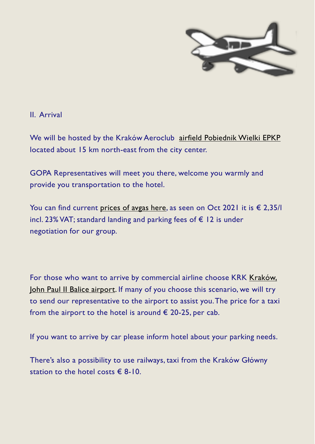

II. Arrival

We will be hosted by the Kraków Aeroclub airfield [Pobiednik](https://www.ais.pansa.pl/vfr/pliki/EP_AD_4_EPKP_en.pdf) Wielki EPKP located about 15 km north-east from the city center.

GOPA Representatives will meet you there, welcome you warmly and provide you transportation to the hotel.

You can find current [prices](https://www.aeroklubkrakowski.pl/lotnisko/stacja-paliw/) of avgas here, as seen on Oct 2021 it is  $\epsilon$  2,35/l incl. 23% VAT; standard landing and parking fees of  $€$  12 is under negotiation for our group.

For those who want to arrive by commercial airline choose KRK [Kraków,](https://www.krakowairport.pl/en/passenger/flights/destinations/regular-flights-schedule/) John Paul II Balice [airport.](https://www.krakowairport.pl/en/passenger/flights/destinations/regular-flights-schedule/) If many of you choose this scenario, we will try to send our representative to the airport to assist you.The price for a taxi from the airport to the hotel is around  $\epsilon$  20-25, per cab.

If you want to arrive by car please inform hotel about your parking needs.

There's also a possibility to use railways, taxi from the Kraków Główny station to the hotel costs  $\epsilon$  8-10.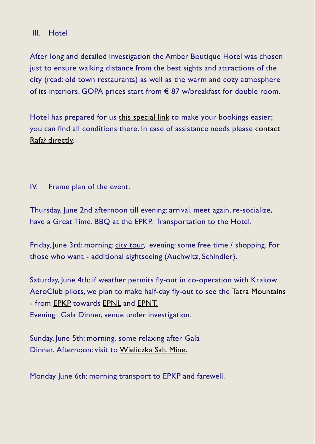## III. Hotel

After long and detailed investigation the Amber Boutique Hotel was chosen just to ensure walking distance from the best sights and attractions of the city (read: old town restaurants) as well as the warm and cozy atmosphere of its interiors. GOPA prices start from € 87 w/breakfast for double room.

Hotel has prepared for us this [special](https://booking.profitroom.com/en/hotelamber1/details/offer/297922?code=GOPA&currency=PLN) link to make your bookings easier; you can find all conditions there. In case of assistance needs please [contact](mailto:gopa2022krakow@gmail.com) Rafał [directly.](mailto:gopa2022krakow@gmail.com)

IV. Frame plan of the event.

Thursday, June 2nd afternoon till evening: arrival, meet again, re-socialize, have a Great Time. BBQ at the EPKP. Transportation to the Hotel.

Friday, June 3rd: morning: city [tour,](https://visitkrakow.com/sightseeing-in-krakow/) evening: some free time / shopping. For those who want - additional sightseeing (Auchwitz, Schindler).

Saturday, June 4th: if weather permits fly-out in co-operation with Krakow AeroClub pilots, we plan to make half-day fly-out to see the Tatra [Mountains](https://en.wikipedia.org/wiki/Tatra_Mountains) - from [EPKP](https://www.ais.pansa.pl/vfr/pliki/EP_AD_4_EPKP_en.pdf) towards [EPNL](https://www.ais.pansa.pl/vfr/pliki/EP_AD_4_EPNL_en.pdf) and [EPNT.](http://www.aeroklub.nowytarg.pl/_pliki/ep-ad-4-epnt-en%2C29811.pdf) Evening: Gala Dinner, venue under investigation.

Sunday, June 5th: morning, some relaxing after Gala Dinner. Afternoon: visit to [Wieliczka](https://www.wieliczka-saltmine.com/?_ga=2.70882704.1055112440.1634984753-769338565.1634984753) Salt Mine.

Monday June 6th: morning transport to EPKP and farewell.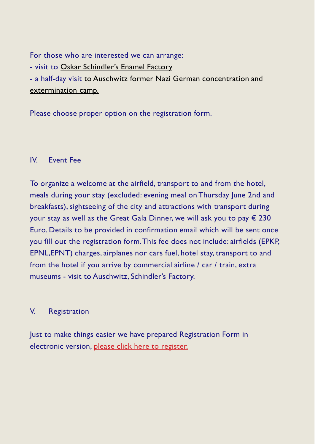For those who are interested we can arrange:

- visit to Oskar [Schindler](https://muzeumkrakowa.pl/en/branches/oskar-schindlers-enamel-factory)'s Enamel Factory

- a half-day visit to Auschwitz former Nazi German [concentration](http://auschwitz.org/en/) and [extermination](http://auschwitz.org/en/) camp.

Please choose proper option on the registration form.

## IV. Event Fee

To organize a welcome at the airfield, transport to and from the hotel, meals during your stay (excluded: evening meal on Thursday June 2nd and breakfasts), sightseeing of the city and attractions with transport during your stay as well as the Great Gala Dinner, we will ask you to pay  $\epsilon$  230 Euro. Details to be provided in confirmation email which will be sent once you fill out the registration form.This fee does not include: airfields (EPKP, EPNL,EPNT) charges, airplanes nor cars fuel, hotel stay, transport to and from the hotel if you arrive by commercial airline / car / train, extra museums - visit to Auschwitz, Schindler's Factory.

## V. Registration

Just to make things easier we have prepared Registration Form in electronic version, please click here to [register.](https://docs.google.com/forms/d/e/1FAIpQLScsxkWqG9OZFAkx2RctbV0IqnFCjpWx0lSATHMJuRWhp6IkbA/viewform)